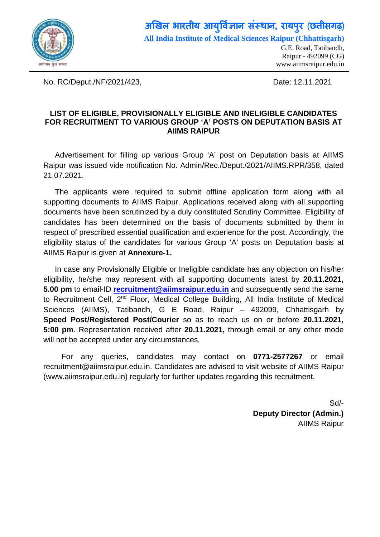

## **अ�खल भारतीय आय �वर् ा संस्था, रायपरु** (**छ�ीसगढ़**) **ु All India Institute of Medical Sciences Raipur (Chhattisgarh)**

G.E. Road, Tatibandh, Raipur - 492099 (CG) [www.aiimsraipur.edu.in](http://www.aiimsraipur.edu.in/)

No. RC/Deput./NF/2021/423, Date: 12.11.2021

## **LIST OF ELIGIBLE, PROVISIONALLY ELIGIBLE AND INELIGIBLE CANDIDATES FOR RECRUITMENT TO VARIOUS GROUP 'A' POSTS ON DEPUTATION BASIS AT AIIMS RAIPUR**

Advertisement for filling up various Group 'A' post on Deputation basis at AIIMS Raipur was issued vide notification No. Admin/Rec./Deput./2021/AIIMS.RPR/358, dated 21.07.2021.

The applicants were required to submit offline application form along with all supporting documents to AIIMS Raipur. Applications received along with all supporting documents have been scrutinized by a duly constituted Scrutiny Committee. Eligibility of candidates has been determined on the basis of documents submitted by them in respect of prescribed essential qualification and experience for the post. Accordingly, the eligibility status of the candidates for various Group 'A' posts on Deputation basis at AIIMS Raipur is given at **Annexure-1.**

In case any Provisionally Eligible or Ineligible candidate has any objection on his/her eligibility, he/she may represent with all supporting documents latest by **20.11.2021, 5.00 pm** to email-ID **[recruitment@aiimsraipur.edu.in](mailto:recruitment@aiimsraipur.edu.in)** and subsequently send the same to Recruitment Cell, 2<sup>nd</sup> Floor, Medical College Building, All India Institute of Medical Sciences (AIIMS), Tatibandh, G E Road, Raipur – 492099, Chhattisgarh by **Speed Post/Registered Post/Courier** so as to reach us on or before **20.11.2021, 5:00 pm**. Representation received after **20.11.2021,** through email or any other mode will not be accepted under any circumstances.

For any queries, candidates may contact on **0771-2577267** or email recruitment@aiimsraipur.edu.in. Candidates are advised to visit website of AIIMS Raipur (www.aiimsraipur.edu.in) regularly for further updates regarding this recruitment.

> Sd/- **Deputy Director (Admin.)** AIIMS Raipur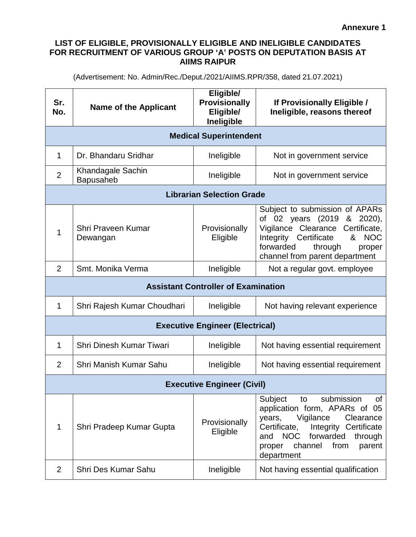## **LIST OF ELIGIBLE, PROVISIONALLY ELIGIBLE AND INELIGIBLE CANDIDATES FOR RECRUITMENT OF VARIOUS GROUP 'A' POSTS ON DEPUTATION BASIS AT AIIMS RAIPUR**

(Advertisement: No. Admin/Rec./Deput./2021/AIIMS.RPR/358, dated 21.07.2021)

| Sr.<br>No.                                 | <b>Name of the Applicant</b>                 | Eligible/<br><b>Provisionally</b><br>Eligible/<br>Ineligible | If Provisionally Eligible /<br>Ineligible, reasons thereof                                                                                                                                                                                               |  |
|--------------------------------------------|----------------------------------------------|--------------------------------------------------------------|----------------------------------------------------------------------------------------------------------------------------------------------------------------------------------------------------------------------------------------------------------|--|
| <b>Medical Superintendent</b>              |                                              |                                                              |                                                                                                                                                                                                                                                          |  |
| 1                                          | Dr. Bhandaru Sridhar                         | Ineligible                                                   | Not in government service                                                                                                                                                                                                                                |  |
| $\overline{2}$                             | <b>Khandagale Sachin</b><br><b>Bapusaheb</b> | Ineligible                                                   | Not in government service                                                                                                                                                                                                                                |  |
| <b>Librarian Selection Grade</b>           |                                              |                                                              |                                                                                                                                                                                                                                                          |  |
| 1                                          | Shri Praveen Kumar<br>Dewangan               | Provisionally<br>Eligible                                    | Subject to submission of APARs<br>of 02 years (2019<br>& 2020),<br>Vigilance Clearance Certificate,<br>& NOC<br>Certificate<br>Integrity<br>forwarded<br>through<br>proper<br>channel from parent department                                             |  |
| 2                                          | Smt. Monika Verma                            | Ineligible                                                   | Not a regular govt. employee                                                                                                                                                                                                                             |  |
| <b>Assistant Controller of Examination</b> |                                              |                                                              |                                                                                                                                                                                                                                                          |  |
| 1                                          | Shri Rajesh Kumar Choudhari                  | Ineligible                                                   | Not having relevant experience                                                                                                                                                                                                                           |  |
| <b>Executive Engineer (Electrical)</b>     |                                              |                                                              |                                                                                                                                                                                                                                                          |  |
| 1                                          | Shri Dinesh Kumar Tiwari                     | Ineligible                                                   | Not having essential requirement                                                                                                                                                                                                                         |  |
| 2                                          | Shri Manish Kumar Sahu                       | Ineligible                                                   | Not having essential requirement                                                                                                                                                                                                                         |  |
| <b>Executive Engineer (Civil)</b>          |                                              |                                                              |                                                                                                                                                                                                                                                          |  |
| 1                                          | Shri Pradeep Kumar Gupta                     | Provisionally<br>Eligible                                    | submission<br>Subject<br><b>of</b><br>to<br>application form, APARs of 05<br>years,<br>Vigilance<br>Clearance<br>Certificate,<br>Integrity Certificate<br><b>NOC</b><br>forwarded<br>through<br>and<br>channel<br>from<br>parent<br>proper<br>department |  |
| 2                                          | Shri Des Kumar Sahu                          | Ineligible                                                   | Not having essential qualification                                                                                                                                                                                                                       |  |